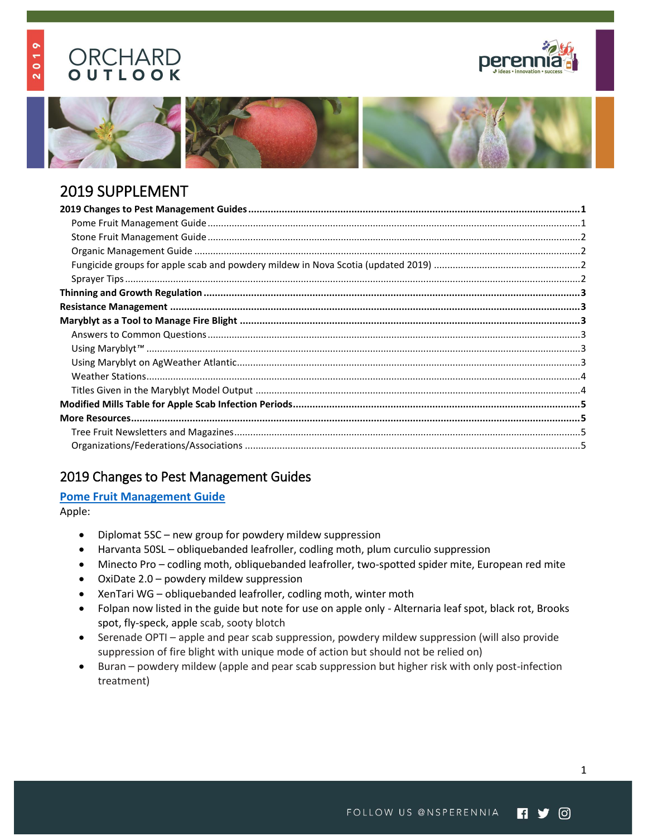# ORCHARD OUTLOOK

 $019$ 

 $\overline{\mathbf{v}}$ 







# 2019 SUPPLEMENT

# <span id="page-0-0"></span>2019 Changes to Pest Management Guides

### <span id="page-0-1"></span>**[Pome Fruit Management Guide](https://www.perennia.ca/wp-content/uploads/2018/03/2019-Pome-Fruit-Spray-Guide_Final.pdf)**

Apple:

- Diplomat 5SC new group for powdery mildew suppression
- Harvanta 50SL obliquebanded leafroller, codling moth, plum curculio suppression
- Minecto Pro codling moth, obliquebanded leafroller, two-spotted spider mite, European red mite
- OxiDate 2.0 powdery mildew suppression
- XenTari WG obliquebanded leafroller, codling moth, winter moth
- Folpan now listed in the guide but note for use on apple only Alternaria leaf spot, black rot, Brooks spot, fly-speck, apple scab, sooty blotch
- Serenade OPTI apple and pear scab suppression, powdery mildew suppression (will also provide suppression of fire blight with unique mode of action but should not be relied on)
- Buran powdery mildew (apple and pear scab suppression but higher risk with only post-infection treatment)

1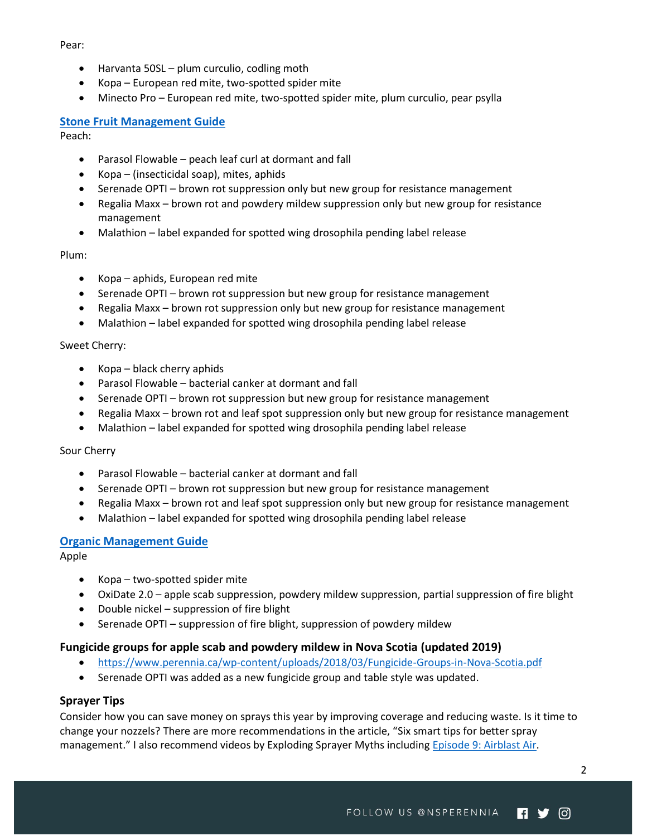Pear:

- Harvanta 50SL plum curculio, codling moth
- Kopa European red mite, two-spotted spider mite
- Minecto Pro European red mite, two-spotted spider mite, plum curculio, pear psylla

### <span id="page-1-0"></span>**[Stone Fruit Management Guide](https://www.perennia.ca/wp-content/uploads/2018/03/2019-Stone-Fruit-Spray-Guide_Final.pdf)**

Peach:

- Parasol Flowable peach leaf curl at dormant and fall
- Kopa (insecticidal soap), mites, aphids
- Serenade OPTI brown rot suppression only but new group for resistance management
- Regalia Maxx brown rot and powdery mildew suppression only but new group for resistance management
- Malathion label expanded for spotted wing drosophila pending label release

Plum:

- Kopa aphids, European red mite
- Serenade OPTI brown rot suppression but new group for resistance management
- Regalia Maxx brown rot suppression only but new group for resistance management
- Malathion label expanded for spotted wing drosophila pending label release

#### Sweet Cherry:

- $\bullet$  Kopa black cherry aphids
- Parasol Flowable bacterial canker at dormant and fall
- Serenade OPTI brown rot suppression but new group for resistance management
- Regalia Maxx brown rot and leaf spot suppression only but new group for resistance management
- Malathion label expanded for spotted wing drosophila pending label release

Sour Cherry

- Parasol Flowable bacterial canker at dormant and fall
- Serenade OPTI brown rot suppression but new group for resistance management
- Regalia Maxx brown rot and leaf spot suppression only but new group for resistance management
- Malathion label expanded for spotted wing drosophila pending label release

#### <span id="page-1-1"></span>**[Organic Management Guide](https://www.perennia.ca/wp-content/uploads/2018/03/2019-Organic-Spray-Guide_Final.pdf)**

Apple

- Kopa two-spotted spider mite
- OxiDate 2.0 apple scab suppression, powdery mildew suppression, partial suppression of fire blight
- Double nickel suppression of fire blight
- Serenade OPTI suppression of fire blight, suppression of powdery mildew

#### <span id="page-1-2"></span>**Fungicide groups for apple scab and powdery mildew in Nova Scotia (updated 2019)**

- <https://www.perennia.ca/wp-content/uploads/2018/03/Fungicide-Groups-in-Nova-Scotia.pdf>
- Serenade OPTI was added as a new fungicide group and table style was updated.

#### <span id="page-1-3"></span>**Sprayer Tips**

Consider how you can save money on sprays this year by improving coverage and reducing waste. Is it time to change your nozzels? There are more recommendations in the article, "[Six smart tips for better spray](https://www.goodfruit.com/six-smart-tips-for-better-spray-management/)  [management](https://www.goodfruit.com/six-smart-tips-for-better-spray-management/)." I also recommend videos by Exploding Sprayer Myths including Episode 9: Airblast Air.

 $\mathfrak{p}$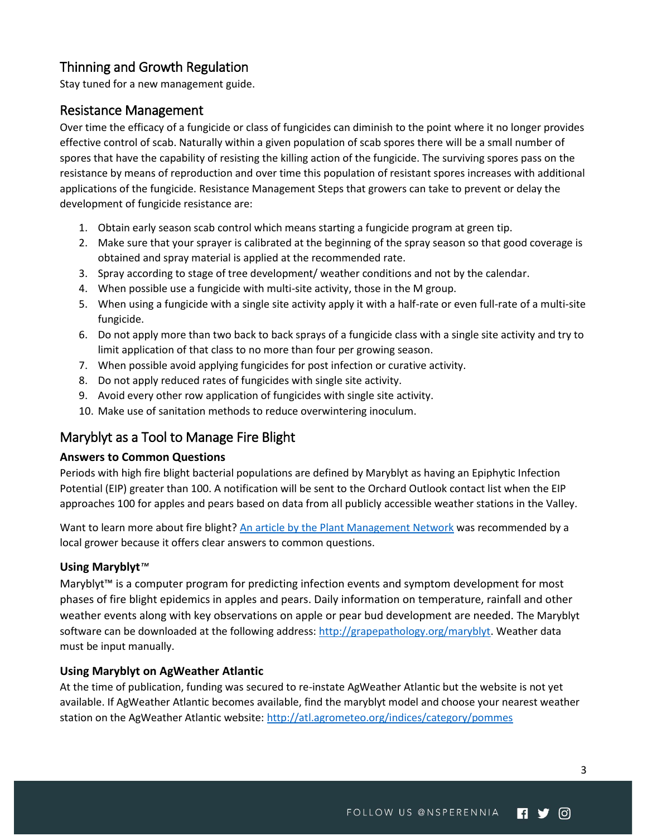## <span id="page-2-0"></span>Thinning and Growth Regulation

Stay tuned for a new management guide.

### <span id="page-2-1"></span>Resistance Management

Over time the efficacy of a fungicide or class of fungicides can diminish to the point where it no longer provides effective control of scab. Naturally within a given population of scab spores there will be a small number of spores that have the capability of resisting the killing action of the fungicide. The surviving spores pass on the resistance by means of reproduction and over time this population of resistant spores increases with additional applications of the fungicide. Resistance Management Steps that growers can take to prevent or delay the development of fungicide resistance are:

- 1. Obtain early season scab control which means starting a fungicide program at green tip.
- 2. Make sure that your sprayer is calibrated at the beginning of the spray season so that good coverage is obtained and spray material is applied at the recommended rate.
- 3. Spray according to stage of tree development/ weather conditions and not by the calendar.
- 4. When possible use a fungicide with multi-site activity, those in the M group.
- 5. When using a fungicide with a single site activity apply it with a half-rate or even full-rate of a multi-site fungicide.
- 6. Do not apply more than two back to back sprays of a fungicide class with a single site activity and try to limit application of that class to no more than four per growing season.
- 7. When possible avoid applying fungicides for post infection or curative activity.
- 8. Do not apply reduced rates of fungicides with single site activity.
- 9. Avoid every other row application of fungicides with single site activity.
- 10. Make use of sanitation methods to reduce overwintering inoculum.

### <span id="page-2-2"></span>Maryblyt as a Tool to Manage Fire Blight

### <span id="page-2-3"></span>**Answers to Common Questions**

Periods with high fire blight bacterial populations are defined by Maryblyt as having an Epiphytic Infection Potential (EIP) greater than 100. A notification will be sent to the Orchard Outlook contact list when the EIP approaches 100 for apples and pears based on data from all publicly accessible weather stations in the Valley.

Want to learn more about fire blight? [An article by the Plant Management Network](http://www.plantmanagementnetwork.org/pub/php/research/2010/fire/) was recommended by a local grower because it offers clear answers to common questions.

### <span id="page-2-4"></span>**Using Maryblyt***™*

Maryblyt<sup>™</sup> is a computer program for predicting infection events and symptom development for most phases of fire blight epidemics in apples and pears. Daily information on temperature, rainfall and other weather events along with key observations on apple or pear bud development are needed. The Maryblyt software can be downloaded at the following address: [http://grapepathology.org/maryblyt.](http://grapepathology.org/maryblyt) Weather data must be input manually.

### <span id="page-2-5"></span>**Using Maryblyt on AgWeather Atlantic**

At the time of publication, funding was secured to re-instate AgWeather Atlantic but the website is not yet available. If AgWeather Atlantic becomes available, find the maryblyt model and choose your nearest weather station on the AgWeather Atlantic website: http://atl.agrometeo.org/indices/category/pommes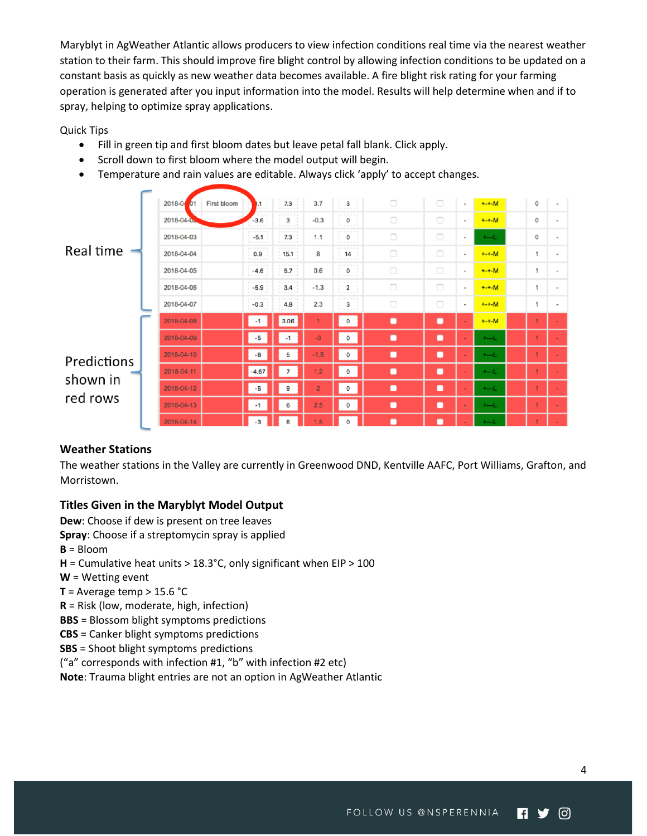Maryblyt in AgWeather Atlantic allows producers to view infection conditions real time via the nearest weather station to their farm. This should improve fire blight control by allowing infection conditions to be updated on a constant basis as quickly as new weather data becomes available. A fire blight risk rating for your farming operation is generated after you input information into the model. Results will help determine when and if to spray, helping to optimize spray applications.

Quick Tips

- Fill in green tip and first bloom dates but leave petal fall blank. Click apply.
- Scroll down to first bloom where the model output will begin.
- Temperature and rain values are editable. Always click 'apply' to accept changes.

| Real time                           | 2018-04<br>First bloom<br>01 | 0.1<br>$- - - 1$                        | 7.3<br><b>A - - - - - - 1</b> | 3.7            | 3<br><b><i><u><u><u><b></b></u></u></u> <u></u> </i> </b> | $\Box$         | $\Box$         |                          | $+ - + -M$ | 0            |  |
|-------------------------------------|------------------------------|-----------------------------------------|-------------------------------|----------------|-----------------------------------------------------------|----------------|----------------|--------------------------|------------|--------------|--|
|                                     | 2018-04-02                   | $- - - -$<br>$-3.6$<br>-----            | .<br>3<br>American and        | $-0.3$         | -------<br>$\circ$<br>home more of                        | $\Box$         | $\Box$         | $\sim$                   | $+ - + -M$ | 0            |  |
|                                     | 2018-04-03                   | ------<br>$-5.1$                        | -------<br>7.3<br>base and    | 1.1            | --------<br>$\mathbf 0$<br>be a more and                  | $\Box$         | $\Box$         | $\sim$                   | $+$        | 0            |  |
|                                     | 2018-04-04                   | .<br>0.9<br>Report Follows              | 15.1<br>has a server of       | 8              | -------<br>14<br>for a series and                         | $\Box$         | $\Box$         | $\sim$                   | $+ - + -M$ | 1            |  |
|                                     | 2018-04-05                   | ------<br>$-4.6$<br><b>Long Comment</b> | 5.7<br>$1 - - - - - 1$        | 0.6            | prices that you have the top<br>o<br>$1 - 1 - 1$          | $\Box$         | $\Box$         | $\sim$                   | $+ - + -M$ | 1            |  |
|                                     | 2018-04-06                   | $-5.9$<br><b>Source and and the </b>    | 3.4                           | $-1.3$         | $\overline{\mathbf{2}}$<br>for a series and               | $\Box$         | $\Box$         | $\sim$                   | $+ - + -M$ | 1            |  |
|                                     | 2018-04-07                   | .<br>$-0.3$<br>.                        | 4.8                           | 2.3            | --------<br>з<br>handle and a                             | $\Box$         | $\Box$         | $\overline{\phantom{a}}$ | $+ - + -M$ | 1            |  |
| Predictions<br>shown in<br>red rows | 2018-04-08                   | $-1$                                    | 3.06                          | 1              | $\mathbf 0$                                               | $\blacksquare$ | $\blacksquare$ |                          | $+ - + -M$ | 1            |  |
|                                     | 2018-04-09                   | $-5$                                    | $-1$                          | $-3$           | $\circ$                                                   | $\blacksquare$ | $\blacksquare$ | ٠                        | $+$        | 1            |  |
|                                     | 2018-04-10                   | -8                                      | 5                             | $-1.5$         | $\circ$                                                   | $\blacksquare$ | $\blacksquare$ | $\blacksquare$           | $+$ ---L   | 1            |  |
|                                     | 2018-04-11                   | $-4.67$                                 | 7                             | 1.2            | $\circ$                                                   | $\blacksquare$ | $\blacksquare$ |                          | $+ -1$     | 1            |  |
|                                     | 2018-04-12                   | $-5$                                    | 9                             | $\overline{2}$ | $\circ$                                                   | $\blacksquare$ | $\blacksquare$ | ٠                        | $+ -1$     | $\mathbf{1}$ |  |
|                                     | 2018-04-13                   | $-1$                                    | 6                             | 2.5            | $\mathbf{o}$                                              | $\blacksquare$ | о              |                          | $+$        | 1            |  |
|                                     | 2018-04-14                   | -3                                      |                               | 1.5            | O                                                         | г              |                |                          | $+ -1$     |              |  |

### <span id="page-3-0"></span>**Weather Stations**

The weather stations in the Valley are currently in Greenwood DND, Kentville AAFC, Port Williams, Grafton, and Morristown.

### <span id="page-3-1"></span>**Titles Given in the Maryblyt Model Output**

**Dew**: Choose if dew is present on tree leaves

**Spray**: Choose if a streptomycin spray is applied

**B** = Bloom

**H** = Cumulative heat units > 18.3°C, only significant when EIP > 100

- **W** = Wetting event
- **T** = Average temp  $> 15.6$  °C

**R** = Risk (low, moderate, high, infection)

**BBS** = Blossom blight symptoms predictions

**CBS** = Canker blight symptoms predictions

**SBS** = Shoot blight symptoms predictions

("a" corresponds with infection #1, "b" with infection #2 etc)

**Note**: Trauma blight entries are not an option in AgWeather Atlantic